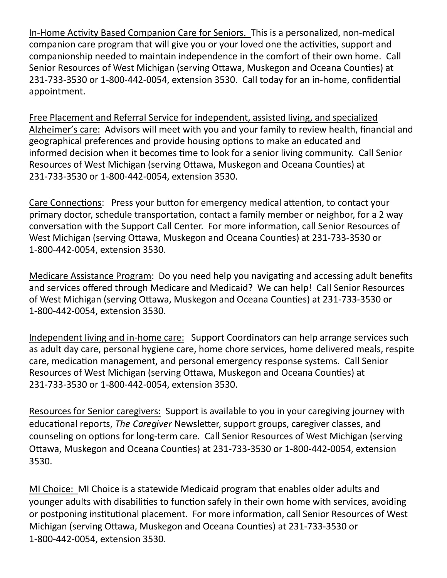In-Home Activity Based Companion Care for Seniors. This is a personalized, non-medical companion care program that will give you or your loved one the activities, support and companionship needed to maintain independence in the comfort of their own home. Call Senior Resources of West Michigan (serving Ottawa, Muskegon and Oceana Counties) at 231-733-3530 or 1-800-442-0054, extension 3530. Call today for an in-home, confidential appointment.

Free Placement and Referral Service for independent, assisted living, and specialized Alzheimer's care: Advisors will meet with you and your family to review health, financial and geographical preferences and provide housing options to make an educated and informed decision when it becomes time to look for a senior living community. Call Senior Resources of West Michigan (serving Ottawa, Muskegon and Oceana Counties) at 231-733-3530 or 1-800-442-0054, extension 3530.

Care Connections: Press your button for emergency medical attention, to contact your primary doctor, schedule transportation, contact a family member or neighbor, for a 2 way conversation with the Support Call Center. For more information, call Senior Resources of West Michigan (serving Ottawa, Muskegon and Oceana Counties) at 231-733-3530 or 1-800-442-0054, extension 3530.

Medicare Assistance Program: Do you need help you navigating and accessing adult benefits and services offered through Medicare and Medicaid? We can help! Call Senior Resources of West Michigan (serving Ottawa, Muskegon and Oceana Counties) at 231-733-3530 or 1-800-442-0054, extension 3530.

Independent living and in-home care: Support Coordinators can help arrange services such as adult day care, personal hygiene care, home chore services, home delivered meals, respite care, medication management, and personal emergency response systems. Call Senior Resources of West Michigan (serving Ottawa, Muskegon and Oceana Counties) at 231-733-3530 or 1-800-442-0054, extension 3530.

Resources for Senior caregivers: Support is available to you in your caregiving journey with educational reports, *The Caregiver* Newsletter, support groups, caregiver classes, and counseling on options for long-term care. Call Senior Resources of West Michigan (serving Ottawa, Muskegon and Oceana Counties) at 231-733-3530 or 1-800-442-0054, extension 3530.

MI Choice: MI Choice is a statewide Medicaid program that enables older adults and younger adults with disabilities to function safely in their own home with services, avoiding or postponing institutional placement. For more information, call Senior Resources of West Michigan (serving Ottawa, Muskegon and Oceana Counties) at 231-733-3530 or 1-800-442-0054, extension 3530.